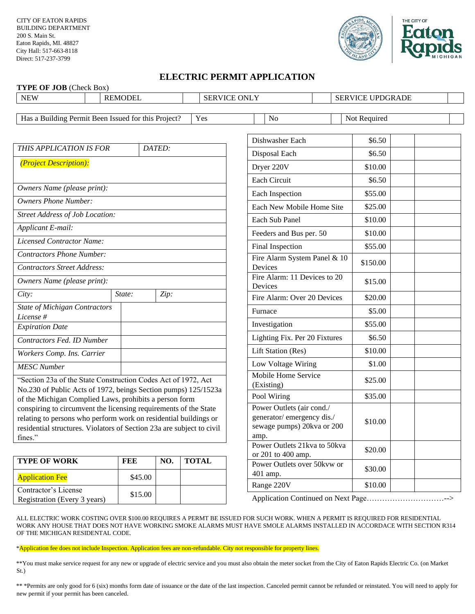

## **ELECTRIC PERMIT APPLICATION**

| TYPE OF JOB (Check Box)                                                                                                                                                                                                  |               |      |                     |                                                                                              |                              |              |  |  |
|--------------------------------------------------------------------------------------------------------------------------------------------------------------------------------------------------------------------------|---------------|------|---------------------|----------------------------------------------------------------------------------------------|------------------------------|--------------|--|--|
| <b>NEW</b><br><b>REMODEL</b>                                                                                                                                                                                             |               |      | <b>SERVICE ONLY</b> |                                                                                              | <b>SERVICE UPDGRADE</b>      |              |  |  |
| Has a Building Permit Been Issued for this Project?<br>Yes                                                                                                                                                               |               |      |                     | No                                                                                           |                              | Not Required |  |  |
| THIS APPLICATION IS FOR<br>DATED:                                                                                                                                                                                        |               |      |                     | Dishwasher Each                                                                              |                              | \$6.50       |  |  |
| (Project Description):                                                                                                                                                                                                   |               |      |                     | Disposal Each                                                                                |                              | \$6.50       |  |  |
|                                                                                                                                                                                                                          |               |      |                     | Dryer 220V                                                                                   |                              | \$10.00      |  |  |
| Owners Name (please print):                                                                                                                                                                                              |               |      |                     | <b>Each Circuit</b>                                                                          |                              | \$6.50       |  |  |
|                                                                                                                                                                                                                          |               |      |                     | Each Inspection                                                                              |                              | \$55.00      |  |  |
| <b>Owners Phone Number:</b>                                                                                                                                                                                              |               |      |                     | Each New Mobile Home Site                                                                    |                              | \$25.00      |  |  |
| <b>Street Address of Job Location:</b>                                                                                                                                                                                   |               |      |                     | Each Sub Panel                                                                               |                              | \$10.00      |  |  |
| Applicant E-mail:                                                                                                                                                                                                        |               |      |                     | Feeders and Bus per. 50                                                                      |                              | \$10.00      |  |  |
| Licensed Contractor Name:                                                                                                                                                                                                |               |      |                     | Final Inspection                                                                             |                              | \$55.00      |  |  |
| <b>Contractors Phone Number:</b><br><b>Contractors Street Address:</b>                                                                                                                                                   |               |      |                     | Devices                                                                                      | Fire Alarm System Panel & 10 |              |  |  |
| Owners Name (please print):                                                                                                                                                                                              |               |      |                     | Fire Alarm: 11 Devices to 20<br>Devices                                                      |                              | \$15.00      |  |  |
| City:                                                                                                                                                                                                                    | State:        | Zip: |                     | Fire Alarm: Over 20 Devices                                                                  |                              | \$20.00      |  |  |
| <b>State of Michigan Contractors</b><br>License #                                                                                                                                                                        |               |      |                     | Furnace                                                                                      |                              | \$5.00       |  |  |
| <b>Expiration Date</b>                                                                                                                                                                                                   |               |      |                     | Investigation                                                                                |                              | \$55.00      |  |  |
| Contractors Fed. ID Number                                                                                                                                                                                               |               |      |                     | Lighting Fix. Per 20 Fixtures                                                                |                              | \$6.50       |  |  |
| Workers Comp. Ins. Carrier                                                                                                                                                                                               |               |      |                     | Lift Station (Res)                                                                           |                              | \$10.00      |  |  |
| <b>MESC Number</b>                                                                                                                                                                                                       |               |      |                     | Low Voltage Wiring                                                                           |                              | \$1.00       |  |  |
| "Section 23a of the State Construction Codes Act of 1972, Act                                                                                                                                                            |               |      |                     | Mobile Home Service<br>(Existing)                                                            |                              | \$25.00      |  |  |
| No.230 of Public Acts of 1972, beings Section pumps) 125/1523a<br>of the Michigan Complied Laws, prohibits a person form                                                                                                 |               |      |                     | Pool Wiring                                                                                  |                              | \$35.00      |  |  |
| conspiring to circumvent the licensing requirements of the State<br>relating to persons who perform work on residential buildings or<br>residential structures. Violators of Section 23a are subject to civil<br>fines." |               |      |                     | Power Outlets (air cond./<br>generator/emergency dis./<br>sewage pumps) 20kva or 200<br>amp. |                              | \$10.00      |  |  |
|                                                                                                                                                                                                                          |               |      |                     | Power Outlets 21kva to 50kva<br>or 201 to 400 amp.                                           |                              | \$20.00      |  |  |
| <b>TYPE OF WORK</b><br>$\Lambda$ and $\Lambda$ and an $\Gamma$                                                                                                                                                           | FEE<br>0.4500 | NO.  | <b>TOTAL</b>        | Power Outlets over 50kvw or<br>401 amp.                                                      |                              | \$30.00      |  |  |

Application Continued on Next Page…………………………-->

Range 220V \$10.00

ALL ELECTRIC WORK COSTING OVER \$100.00 REQUIRES A PERMT BE ISSUED FOR SUCH WORK. WHEN A PERMIT IS REQUIRED FOR RESIDENTIAL WORK ANY HOUSE THAT DOES NOT HAVE WORKING SMOKE ALARMS MUST HAVE SMOLE ALARMS INSTALLED IN ACCORDACE WITH SECTION R314 OF THE MICHIGAN RESIDENTAL CODE.

\*Application fee does not include Inspection. Application fees are non-refundable. City not responsible for property lines.

Application Fee <br>  $\left| \right|$  \$45.00

Exercise entractor structure<br>Registration (Every 3 years) \$15.00

Contractor's License

\*\*You must make service request for any new or upgrade of electric service and you must also obtain the meter socket from the City of Eaton Rapids Electric Co. (on Market St.)

\*\* \*Permits are only good for 6 (six) months form date of issuance or the date of the last inspection. Canceled permit cannot be refunded or reinstated. You will need to apply for new permit if your permit has been canceled.